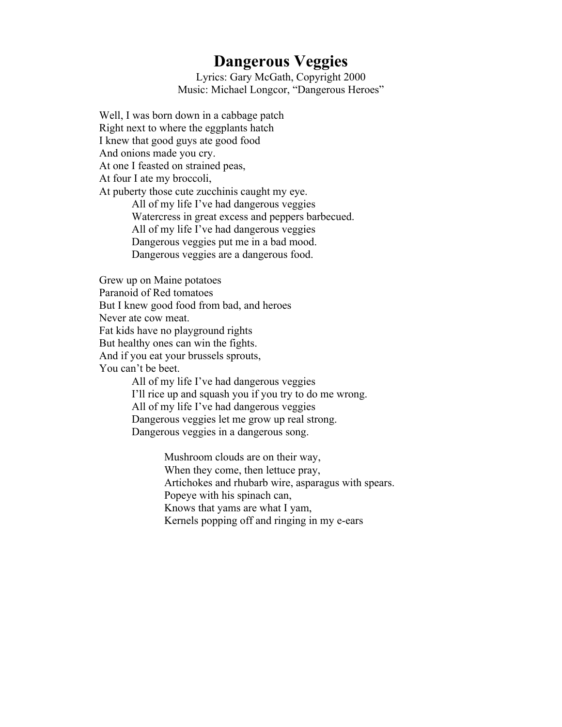## **Dangerous Veggies**

Lyrics: Gary McGath, Copyright 2000 Music: Michael Longcor, "Dangerous Heroes"

Well, I was born down in a cabbage patch Right next to where the eggplants hatch I knew that good guys ate good food And onions made you cry. At one I feasted on strained peas, At four I ate my broccoli, At puberty those cute zucchinis caught my eye. All of my life I've had dangerous veggies Watercress in great excess and peppers barbecued. All of my life I've had dangerous veggies Dangerous veggies put me in a bad mood. Dangerous veggies are a dangerous food.

Grew up on Maine potatoes

Paranoid of Red tomatoes

But I knew good food from bad, and heroes

Never ate cow meat.

Fat kids have no playground rights

But healthy ones can win the fights.

And if you eat your brussels sprouts,

You can't be beet.

All of my life I've had dangerous veggies I'll rice up and squash you if you try to do me wrong. All of my life I've had dangerous veggies Dangerous veggies let me grow up real strong. Dangerous veggies in a dangerous song.

> Mushroom clouds are on their way, When they come, then lettuce pray, Artichokes and rhubarb wire, asparagus with spears. Popeye with his spinach can, Knows that yams are what I yam, Kernels popping off and ringing in my e-ears